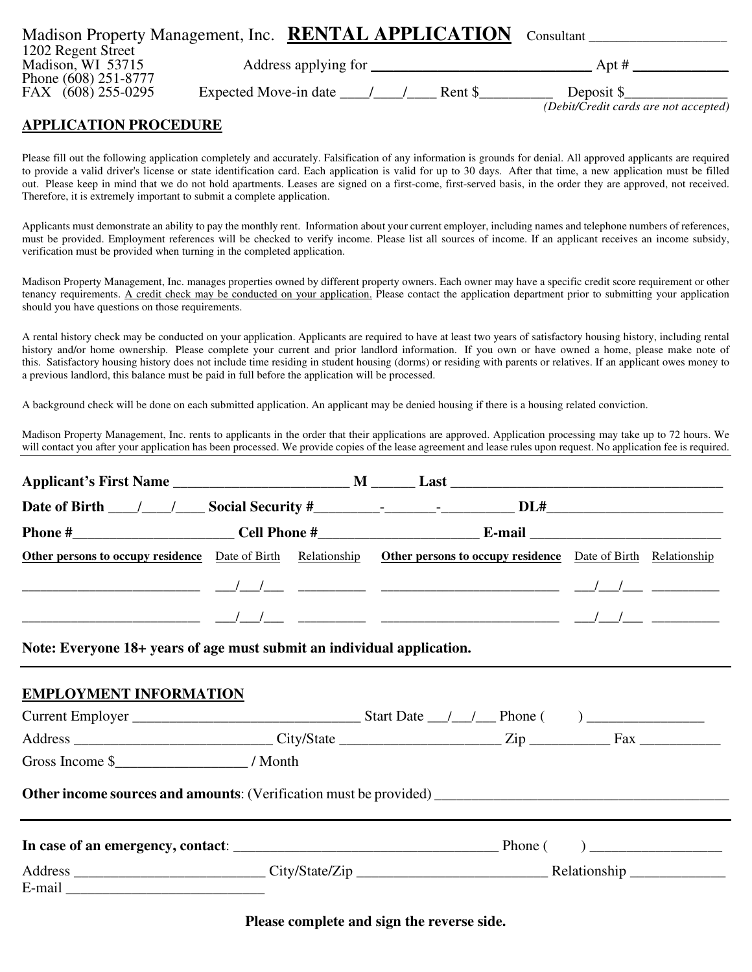|                      | Madison Property Management, Inc. <b>RENTAL APPLICATION</b> |        | Consultant                            |
|----------------------|-------------------------------------------------------------|--------|---------------------------------------|
| 1202 Regent Street   |                                                             |        |                                       |
| Madison, WI 53715    | Address applying for                                        |        | Apt #                                 |
| Phone (608) 251-8777 |                                                             |        |                                       |
| FAX (608) 255-0295   | Expected Move-in date                                       | Rent S | Deposit \$                            |
|                      |                                                             |        | (Debit/Credit cards are not accepted) |

## **APPLICATION PROCEDURE**

Please fill out the following application completely and accurately. Falsification of any information is grounds for denial. All approved applicants are required to provide a valid driver's license or state identification card. Each application is valid for up to 30 days. After that time, a new application must be filled out. Please keep in mind that we do not hold apartments. Leases are signed on a first-come, first-served basis, in the order they are approved, not received. Therefore, it is extremely important to submit a complete application.

Applicants must demonstrate an ability to pay the monthly rent. Information about your current employer, including names and telephone numbers of references, must be provided. Employment references will be checked to verify income. Please list all sources of income. If an applicant receives an income subsidy, verification must be provided when turning in the completed application.

Madison Property Management, Inc. manages properties owned by different property owners. Each owner may have a specific credit score requirement or other tenancy requirements. A credit check may be conducted on your application. Please contact the application department prior to submitting your application should you have questions on those requirements.

A rental history check may be conducted on your application. Applicants are required to have at least two years of satisfactory housing history, including rental history and/or home ownership. Please complete your current and prior landlord information. If you own or have owned a home, please make note of this. Satisfactory housing history does not include time residing in student housing (dorms) or residing with parents or relatives. If an applicant owes money to a previous landlord, this balance must be paid in full before the application will be processed.

A background check will be done on each submitted application. An applicant may be denied housing if there is a housing related conviction.

Madison Property Management, Inc. rents to applicants in the order that their applications are approved. Application processing may take up to 72 hours. We will contact you after your application has been processed. We provide copies of the lease agreement and lease rules upon request. No application fee is required.

|                                                                                                         | Other persons to occupy residence Date of Birth Relationship Other persons to occupy residence Date of Birth Relationship |  |
|---------------------------------------------------------------------------------------------------------|---------------------------------------------------------------------------------------------------------------------------|--|
|                                                                                                         |                                                                                                                           |  |
|                                                                                                         |                                                                                                                           |  |
| Note: Everyone 18+ years of age must submit an individual application.<br><b>EMPLOYMENT INFORMATION</b> |                                                                                                                           |  |
|                                                                                                         |                                                                                                                           |  |
|                                                                                                         |                                                                                                                           |  |
|                                                                                                         |                                                                                                                           |  |
|                                                                                                         |                                                                                                                           |  |
|                                                                                                         |                                                                                                                           |  |
|                                                                                                         |                                                                                                                           |  |
|                                                                                                         |                                                                                                                           |  |

**Please complete and sign the reverse side.**